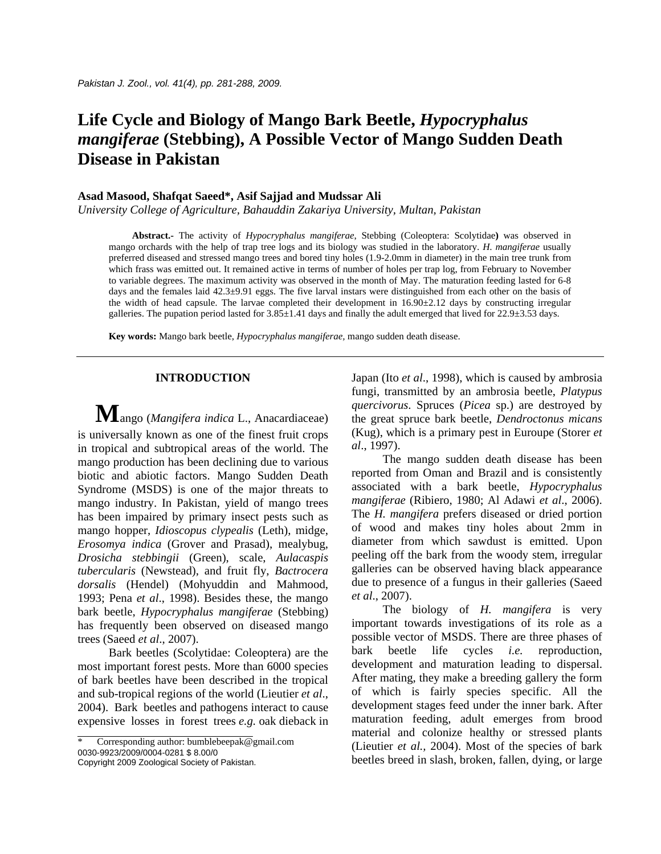# **Life Cycle and Biology of Mango Bark Beetle,** *Hypocryphalus mangiferae* **(Stebbing), A Possible Vector of Mango Sudden Death Disease in Pakistan**

# **Asad Masood, Shafqat Saeed\*, Asif Sajjad and Mudssar Ali**

*University College of Agriculture, Bahauddin Zakariya University, Multan, Pakistan* 

 **Abstract.-** The activity of *Hypocryphalus mangiferae*, Stebbing (Coleoptera: Scolytidae**)** was observed in mango orchards with the help of trap tree logs and its biology was studied in the laboratory. *H*. *mangiferae* usually preferred diseased and stressed mango trees and bored tiny holes (1.9-2.0mm in diameter) in the main tree trunk from which frass was emitted out. It remained active in terms of number of holes per trap log, from February to November to variable degrees. The maximum activity was observed in the month of May. The maturation feeding lasted for 6-8 days and the females laid 42.3±9.91 eggs. The five larval instars were distinguished from each other on the basis of the width of head capsule. The larvae completed their development in 16.90±2.12 days by constructing irregular galleries. The pupation period lasted for  $3.85\pm1.41$  days and finally the adult emerged that lived for  $22.9\pm3.53$  days.

**Key words:** Mango bark beetle, *Hypocryphalus mangiferae,* mango sudden death disease.

## **INTRODUCTION**

 **M**ango (*Mangifera indica* L., Anacardiaceae) is universally known as one of the finest fruit crops in tropical and subtropical areas of the world. The mango production has been declining due to various biotic and abiotic factors. Mango Sudden Death Syndrome (MSDS) is one of the major threats to mango industry. In Pakistan, yield of mango trees has been impaired by primary insect pests such as mango hopper, *Idioscopus clypealis* (Leth), midge, *Erosomya indica* (Grover and Prasad), mealybug, *Drosicha stebbingii* (Green), scale, *Aulacaspis tubercularis* (Newstead), and fruit fly, *Bactrocera dorsalis* (Hendel) (Mohyuddin and Mahmood, 1993; Pena *et al*., 1998). Besides these, the mango bark beetle, *Hypocryphalus mangiferae* (Stebbing) has frequently been observed on diseased mango trees (Saeed *et al*., 2007).

Bark beetles (Scolytidae: Coleoptera) are the most important forest pests. More than 6000 species of bark beetles have been described in the tropical and sub-tropical regions of the world (Lieutier *et al*., 2004). Bark beetles and pathogens interact to cause expensive losses in forest trees *e.g.* oak dieback in

Corresponding author: [bumblebeepak@gmail.com](mailto:bumblebeepak@gmail.com) 0030-9923/2009/0004-0281 \$ 8.00/0 Copyright 2009 Zoological Society of Pakistan.

Japan (Ito *et al*., 1998), which is caused by ambrosia fungi, transmitted by an ambrosia beetle, *Platypus quercivorus*. Spruces (*Picea* sp.) are destroyed by the great spruce bark beetle, *Dendroctonus micans* (Kug), which is a primary pest in Euroupe (Storer *et al*., 1997).

The mango sudden death disease has been reported from Oman and Brazil and is consistently associated with a bark beetle, *Hypocryphalus mangiferae* (Ribiero, 1980; Al Adawi *et al*., 2006). The *H. mangifera* prefers diseased or dried portion of wood and makes tiny holes about 2mm in diameter from which sawdust is emitted. Upon peeling off the bark from the woody stem, irregular galleries can be observed having black appearance due to presence of a fungus in their galleries (Saeed *et al*., 2007).

The biology of *H. mangifera* is very important towards investigations of its role as a possible vector of MSDS. There are three phases of bark beetle life cycles *i.e.* reproduction, development and maturation leading to dispersal. After mating, they make a breeding gallery the form of which is fairly species specific. All the development stages feed under the inner bark. After maturation feeding, adult emerges from brood material and colonize healthy or stressed plants (Lieutier *et al.,* 2004). Most of the species of bark beetles breed in slash, broken, fallen, dying, or large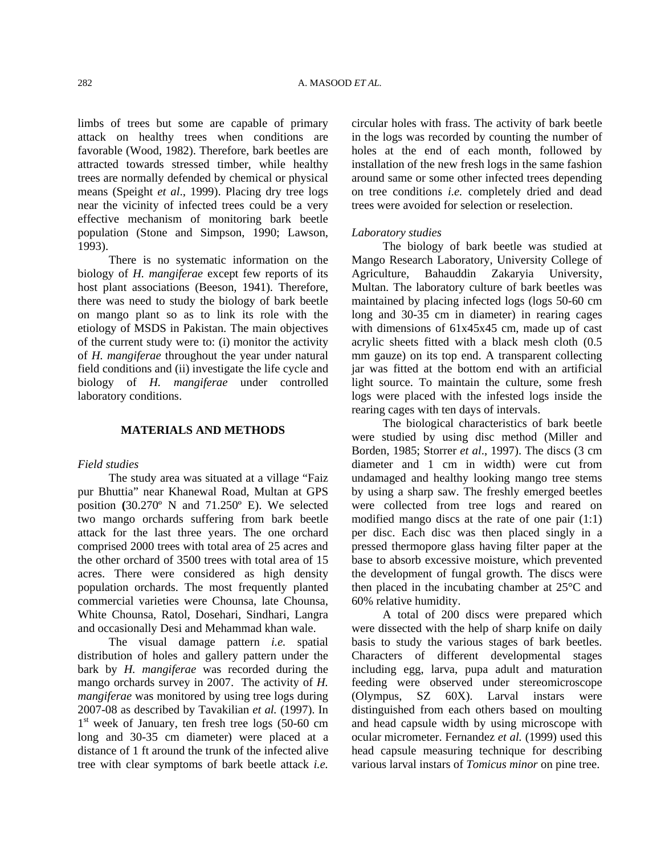limbs of trees but some are capable of primary attack on healthy trees when conditions are favorable (Wood, 1982). Therefore, bark beetles are attracted towards stressed timber, while healthy trees are normally defended by chemical or physical means (Speight *et al*., 1999). Placing dry tree logs near the vicinity of infected trees could be a very effective mechanism of monitoring bark beetle population (Stone and Simpson, 1990; Lawson, 1993).

 There is no systematic information on the biology of *H. mangiferae* except few reports of its host plant associations (Beeson, 1941). Therefore, there was need to study the biology of bark beetle on mango plant so as to link its role with the etiology of MSDS in Pakistan. The main objectives of the current study were to: (i) monitor the activity of *H. mangiferae* throughout the year under natural field conditions and (ii) investigate the life cycle and biology of *H. mangiferae* under controlled laboratory conditions.

## **MATERIALS AND METHODS**

## *Field studies*

 The study area was situated at a village "Faiz pur Bhuttia" near Khanewal Road, Multan at GPS position **(**30.270º N and 71.250º E). We selected two mango orchards suffering from bark beetle attack for the last three years. The one orchard comprised 2000 trees with total area of 25 acres and the other orchard of 3500 trees with total area of 15 acres. There were considered as high density population orchards. The most frequently planted commercial varieties were Chounsa, late Chounsa, White Chounsa, Ratol, Dosehari, Sindhari, Langra and occasionally Desi and Mehammad khan wale.

 The visual damage pattern *i.e.* spatial distribution of holes and gallery pattern under the bark by *H. mangiferae* was recorded during the mango orchards survey in 2007. The activity of *H. mangiferae* was monitored by using tree logs during 2007-08 as described by Tavakilian *et al.* (1997). In  $1<sup>st</sup>$  week of January, ten fresh tree logs (50-60 cm long and 30-35 cm diameter) were placed at a distance of 1 ft around the trunk of the infected alive tree with clear symptoms of bark beetle attack *i.e.*

circular holes with frass. The activity of bark beetle in the logs was recorded by counting the number of holes at the end of each month, followed by installation of the new fresh logs in the same fashion around same or some other infected trees depending on tree conditions *i.e.* completely dried and dead trees were avoided for selection or reselection.

# *Laboratory studies*

 The biology of bark beetle was studied at Mango Research Laboratory, University College of Agriculture, Bahauddin Zakaryia University, Multan. The laboratory culture of bark beetles was maintained by placing infected logs (logs 50-60 cm long and 30-35 cm in diameter) in rearing cages with dimensions of  $61x45x45$  cm, made up of cast acrylic sheets fitted with a black mesh cloth (0.5 mm gauze) on its top end. A transparent collecting jar was fitted at the bottom end with an artificial light source. To maintain the culture, some fresh logs were placed with the infested logs inside the rearing cages with ten days of intervals.

 The biological characteristics of bark beetle were studied by using disc method (Miller and Borden, 1985; Storrer *et al*., 1997). The discs (3 cm diameter and 1 cm in width) were cut from undamaged and healthy looking mango tree stems by using a sharp saw. The freshly emerged beetles were collected from tree logs and reared on modified mango discs at the rate of one pair (1:1) per disc. Each disc was then placed singly in a pressed thermopore glass having filter paper at the base to absorb excessive moisture, which prevented the development of fungal growth. The discs were then placed in the incubating chamber at 25°C and 60% relative humidity.

 A total of 200 discs were prepared which were dissected with the help of sharp knife on daily basis to study the various stages of bark beetles. Characters of different developmental stages including egg, larva, pupa adult and maturation feeding were observed under stereomicroscope (Olympus, SZ 60X). Larval instars were distinguished from each others based on moulting and head capsule width by using microscope with ocular micrometer. Fernandez *et al.* (1999) used this head capsule measuring technique for describing various larval instars of *Tomicus minor* on pine tree.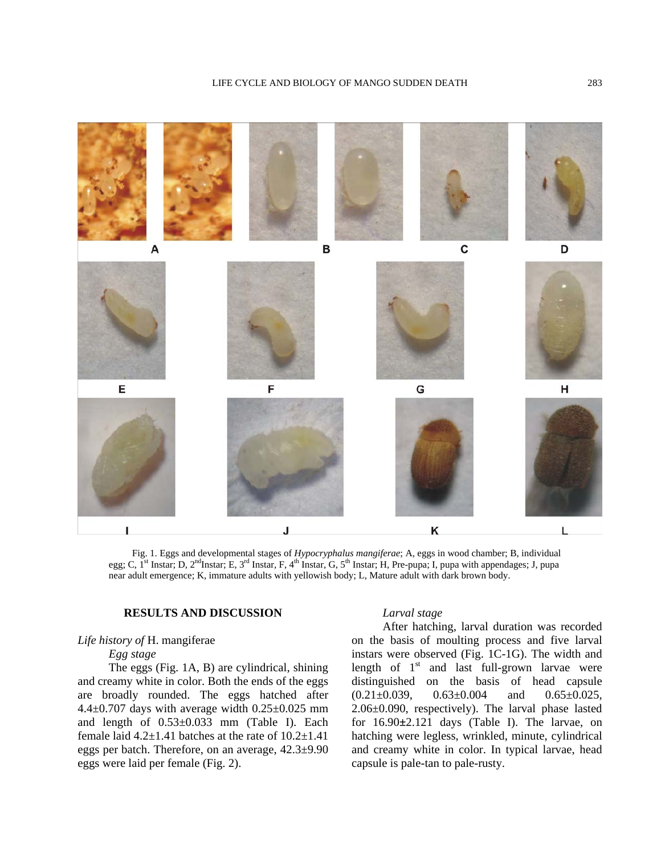

Fig. 1. Eggs and developmental stages of *Hypocryphalus mangiferae*; A, eggs in wood chamber; B, individual egg; C,  $\bar{I}^{\rm st}$  Instar; D,  $2^{\rm nd}$ Instar; E,  $3^{\rm rd}$  Instar, F,  $4^{\rm th}$  Instar, G,  $5^{\rm th}$  Instar; H, Pre-pupa; I, pupa with appendages; J, pupa near adult emergence; K, immature adults with yellowish body; L, Mature adult with dark brown body.

# **RESULTS AND DISCUSSION**

# *Life history of* H. mangiferae

 *Egg stage*

The eggs (Fig. 1A, B) are cylindrical, shining and creamy white in color. Both the ends of the eggs are broadly rounded. The eggs hatched after  $4.4\pm0.707$  days with average width  $0.25\pm0.025$  mm and length of 0.53±0.033 mm (Table I). Each female laid  $4.2\pm1.41$  batches at the rate of  $10.2\pm1.41$ eggs per batch. Therefore, on an average, 42.3±9.90 eggs were laid per female (Fig. 2).

#### *Larval stage*

After hatching, larval duration was recorded on the basis of moulting process and five larval instars were observed (Fig. 1C-1G). The width and length of  $1<sup>st</sup>$  and last full-grown larvae were distinguished on the basis of head capsule  $(0.21 \pm 0.039, \quad 0.63 \pm 0.004 \quad \text{and} \quad 0.65 \pm 0.025,$ 2.06±0.090, respectively). The larval phase lasted for 16.90**±**2.121 days (Table I). The larvae, on hatching were legless, wrinkled, minute, cylindrical and creamy white in color. In typical larvae, head capsule is pale-tan to pale-rusty.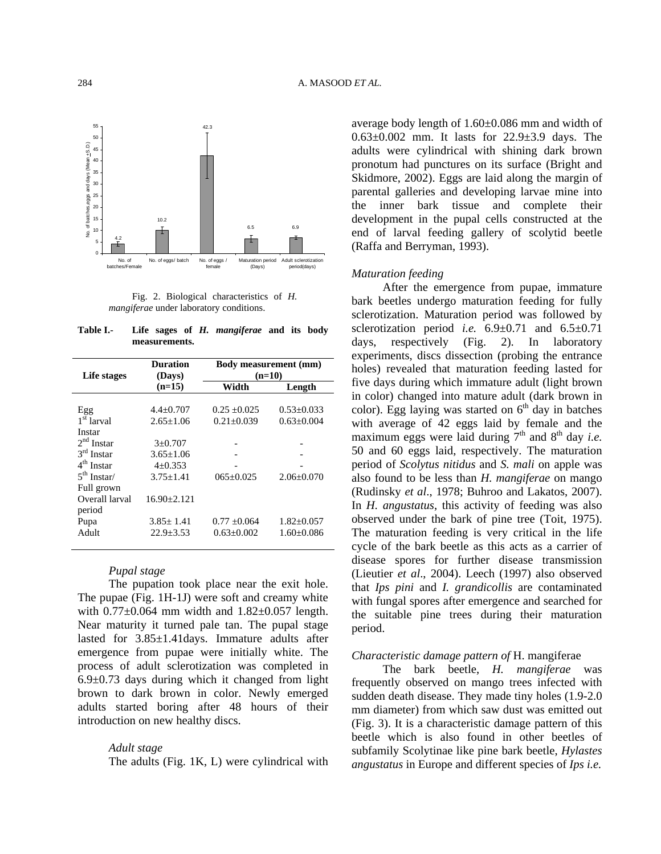

Fig. 2. Biological characteristics of *H. mangiferae* under laboratory conditions.

**Table I.- Life sages of** *H. mangiferae* **and its body measurements.**

| Life stages            | <b>Duration</b><br>(Days) |                  | <b>Body measurement (mm)</b><br>$(n=10)$ |  |
|------------------------|---------------------------|------------------|------------------------------------------|--|
|                        | $(n=15)$                  | Width            | Length                                   |  |
|                        |                           |                  |                                          |  |
| Egg                    | $4.4 \pm 0.707$           | $0.25 + 0.025$   | $0.53 \pm 0.033$                         |  |
| 1 <sup>st</sup> larval | $2.65 + 1.06$             | $0.21 \pm 0.039$ | $0.63+0.004$                             |  |
| Instar                 |                           |                  |                                          |  |
| $2nd$ Instar           | $3+0.707$                 |                  |                                          |  |
| $3rd$ Instar           | $3.65 + 1.06$             |                  |                                          |  |
| $4th$ Instar           | $4+0.353$                 |                  |                                          |  |
| $5th$ Instar/          | $3.75 + 1.41$             | $065+0.025$      | $2.06 + 0.070$                           |  |
| Full grown             |                           |                  |                                          |  |
| Overall larval         | $16.90 \pm 2.121$         |                  |                                          |  |
| period                 |                           |                  |                                          |  |
| Pupa                   | $3.85 + 1.41$             | $0.77 + 0.064$   | $1.82 \pm 0.057$                         |  |
| Adult                  | $22.9 + 3.53$             | $0.63 + 0.002$   | $1.60 + 0.086$                           |  |
|                        |                           |                  |                                          |  |

# *Pupal stage*

The pupation took place near the exit hole. The pupae (Fig. 1H-1J) were soft and creamy white with  $0.77\pm0.064$  mm width and  $1.82\pm0.057$  length. Near maturity it turned pale tan. The pupal stage lasted for 3.85±1.41days. Immature adults after emergence from pupae were initially white. The process of adult sclerotization was completed in  $6.9\pm0.73$  days during which it changed from light brown to dark brown in color. Newly emerged adults started boring after 48 hours of their introduction on new healthy discs.

#### *Adult stage*

The adults (Fig. 1K, L) were cylindrical with

average body length of 1.60±0.086 mm and width of 0.63±0.002 mm. It lasts for 22.9±3.9 days. The adults were cylindrical with shining dark brown pronotum had punctures on its surface (Bright and Skidmore, 2002). Eggs are laid along the margin of parental galleries and developing larvae mine into the inner bark tissue and complete their development in the pupal cells constructed at the end of larval feeding gallery of scolytid beetle (Raffa and Berryman, 1993).

# *Maturation feeding*

After the emergence from pupae, immature bark beetles undergo maturation feeding for fully sclerotization. Maturation period was followed by sclerotization period *i.e.* 6.9±0.71 and 6.5±0.71 days, respectively (Fig. 2). In laboratory experiments, discs dissection (probing the entrance holes) revealed that maturation feeding lasted for five days during which immature adult (light brown in color) changed into mature adult (dark brown in color). Egg laying was started on  $6<sup>th</sup>$  day in batches with average of 42 eggs laid by female and the maximum eggs were laid during  $7<sup>th</sup>$  and  $8<sup>th</sup>$  day *i.e.* 50 and 60 eggs laid, respectively. The maturation period of *Scolytus nitidus* and *S. mali* on apple was also found to be less than *H. mangiferae* on mango (Rudinsky *et al*., 1978; Buhroo and Lakatos, 2007). In *H. angustatus*, this activity of feeding was also observed under the bark of pine tree (Toit, 1975). The maturation feeding is very critical in the life cycle of the bark beetle as this acts as a carrier of disease spores for further disease transmission (Lieutier *et al*., 2004). Leech (1997) also observed that *Ips pini* and *I. grandicollis* are contaminated with fungal spores after emergence and searched for the suitable pine trees during their maturation period.

# *Characteristic damage pattern of* H. mangiferae

 The bark beetle, *H. mangiferae* was frequently observed on mango trees infected with sudden death disease. They made tiny holes (1.9-2.0 mm diameter) from which saw dust was emitted out (Fig. 3). It is a characteristic damage pattern of this beetle which is also found in other beetles of subfamily Scolytinae like pine bark beetle, *Hylastes angustatus* in Europe and different species of *Ips i.e.*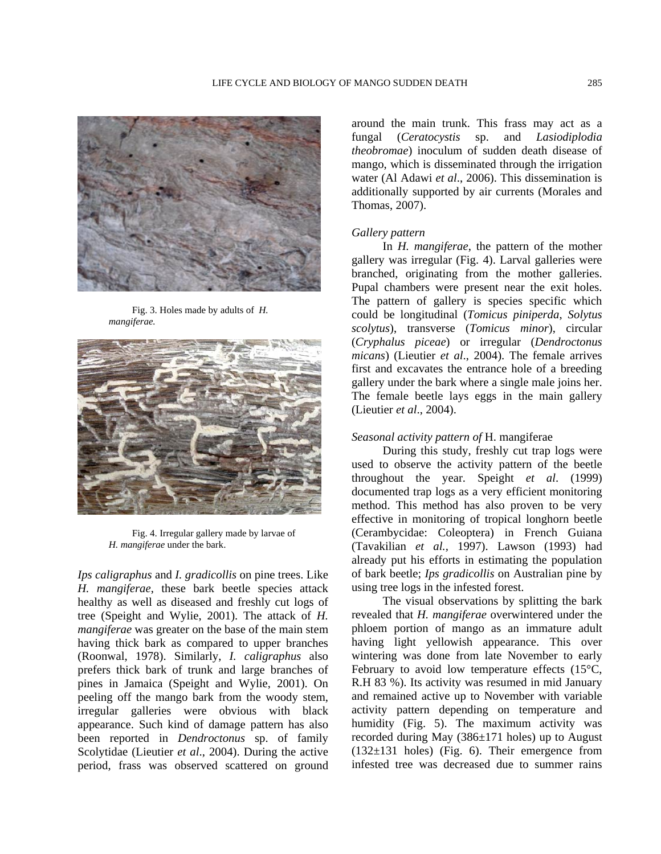

Fig. 3. Holes made by adults of *H. mangiferae.* 



Fig. 4. Irregular gallery made by larvae of *H. mangiferae* under the bark.

*Ips caligraphus* and *I. gradicollis* on pine trees. Like *H. mangiferae*, these bark beetle species attack healthy as well as diseased and freshly cut logs of tree (Speight and Wylie, 2001). The attack of *H. mangiferae* was greater on the base of the main stem having thick bark as compared to upper branches (Roonwal, 1978). Similarly, *I. caligraphus* also prefers thick bark of trunk and large branches of pines in Jamaica (Speight and Wylie, 2001). On peeling off the mango bark from the woody stem, irregular galleries were obvious with black appearance. Such kind of damage pattern has also been reported in *Dendroctonus* sp. of family Scolytidae (Lieutier *et al*., 2004). During the active period, frass was observed scattered on ground

around the main trunk. This frass may act as a fungal (*Ceratocystis* sp. and *Lasiodiplodia theobromae*) inoculum of sudden death disease of mango, which is disseminated through the irrigation water (Al Adawi *et al*., 2006). This dissemination is additionally supported by air currents (Morales and Thomas, 2007).

#### *Gallery pattern*

 In *H. mangiferae*, the pattern of the mother gallery was irregular (Fig. 4). Larval galleries were branched, originating from the mother galleries. Pupal chambers were present near the exit holes. The pattern of gallery is species specific which could be longitudinal (*Tomicus piniperda*, *Solytus scolytus*), transverse (*Tomicus minor*), circular (*Cryphalus piceae*) or irregular (*Dendroctonus micans*) (Lieutier *et al*., 2004). The female arrives first and excavates the entrance hole of a breeding gallery under the bark where a single male joins her. The female beetle lays eggs in the main gallery (Lieutier *et al*., 2004).

# *Seasonal activity pattern of* H. mangiferae

During this study, freshly cut trap logs were used to observe the activity pattern of the beetle throughout the year. Speight *et al*. (1999) documented trap logs as a very efficient monitoring method. This method has also proven to be very effective in monitoring of tropical longhorn beetle (Cerambycidae: Coleoptera) in French Guiana (Tavakilian *et al.,* 1997). Lawson (1993) had already put his efforts in estimating the population of bark beetle; *Ips gradicollis* on Australian pine by using tree logs in the infested forest.

The visual observations by splitting the bark revealed that *H. mangiferae* overwintered under the phloem portion of mango as an immature adult having light yellowish appearance. This over wintering was done from late November to early February to avoid low temperature effects (15°C, R.H 83 %). Its activity was resumed in mid January and remained active up to November with variable activity pattern depending on temperature and humidity (Fig. 5). The maximum activity was recorded during May  $(386\pm171)$  holes) up to August  $(132\pm 131)$  holes) (Fig. 6). Their emergence from infested tree was decreased due to summer rains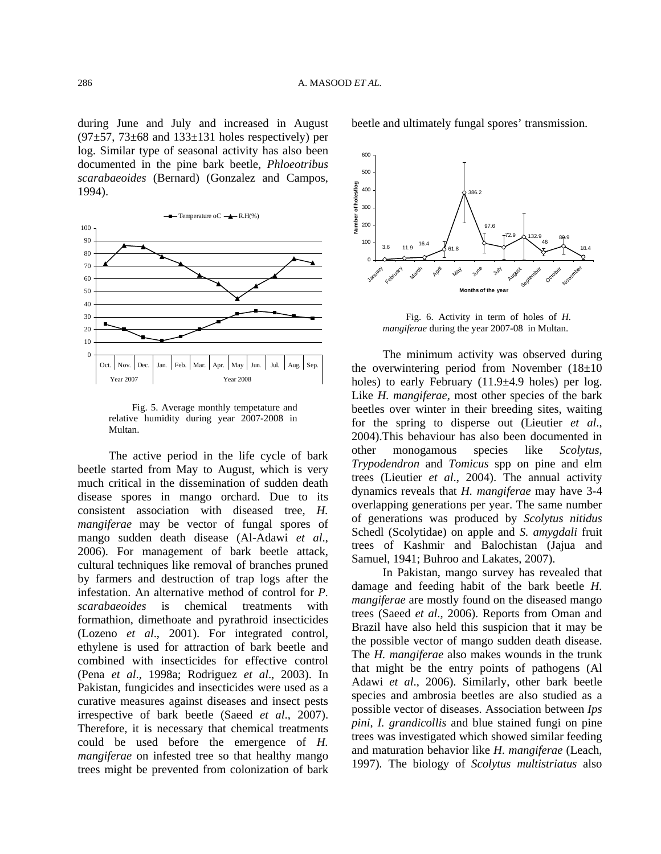during June and July and increased in August  $(97±57, 73±68$  and  $133±131$  holes respectively) per log. Similar type of seasonal activity has also been documented in the pine bark beetle, *Phloeotribus scarabaeoides* (Bernard) (Gonzalez and Campos, 1994).



Fig. 5. Average monthly tempetature and relative humidity during year 2007-2008 in Multan.

The active period in the life cycle of bark beetle started from May to August, which is very much critical in the dissemination of sudden death disease spores in mango orchard. Due to its consistent association with diseased tree, *H. mangiferae* may be vector of fungal spores of mango sudden death disease (Al-Adawi *et al*., 2006). For management of bark beetle attack, cultural techniques like removal of branches pruned by farmers and destruction of trap logs after the infestation. An alternative method of control for *P. scarabaeoides* is chemical treatments with formathion, dimethoate and pyrathroid insecticides (Lozeno *et al*., 2001). For integrated control, ethylene is used for attraction of bark beetle and combined with insecticides for effective control (Pena *et al*., 1998a; Rodriguez *et al*., 2003). In Pakistan, fungicides and insecticides were used as a curative measures against diseases and insect pests irrespective of bark beetle (Saeed *et al*., 2007). Therefore, it is necessary that chemical treatments could be used before the emergence of *H. mangiferae* on infested tree so that healthy mango trees might be prevented from colonization of bark beetle and ultimately fungal spores' transmission.



Fig. 6. Activity in term of holes of *H. mangiferae* during the year 2007-08 in Multan.

The minimum activity was observed during the overwintering period from November  $(18\pm 10)$ holes) to early February  $(11.9\pm4.9)$  holes) per log. Like *H. mangiferae,* most other species of the bark beetles over winter in their breeding sites, waiting for the spring to disperse out (Lieutier *et al*., 2004).This behaviour has also been documented in other monogamous species like *Scolytus*, *Trypodendron* and *Tomicus* spp on pine and elm trees (Lieutier *et al*., 2004). The annual activity dynamics reveals that *H. mangiferae* may have 3-4 overlapping generations per year. The same number of generations was produced by *Scolytus nitidus* Schedl (Scolytidae) on apple and *S. amygdali* fruit trees of Kashmir and Balochistan (Jajua and Samuel, 1941; Buhroo and Lakates, 2007).

In Pakistan, mango survey has revealed that damage and feeding habit of the bark beetle *H*. *mangiferae* are mostly found on the diseased mango trees (Saeed *et al*., 2006). Reports from Oman and Brazil have also held this suspicion that it may be the possible vector of mango sudden death disease. The *H. mangiferae* also makes wounds in the trunk that might be the entry points of pathogens (Al Adawi *et al*., 2006). Similarly, other bark beetle species and ambrosia beetles are also studied as a possible vector of diseases. Association between *Ips pini*, *I. grandicollis* and blue stained fungi on pine trees was investigated which showed similar feeding and maturation behavior like *H. mangiferae* (Leach, 1997)*.* The biology of *Scolytus multistriatus* also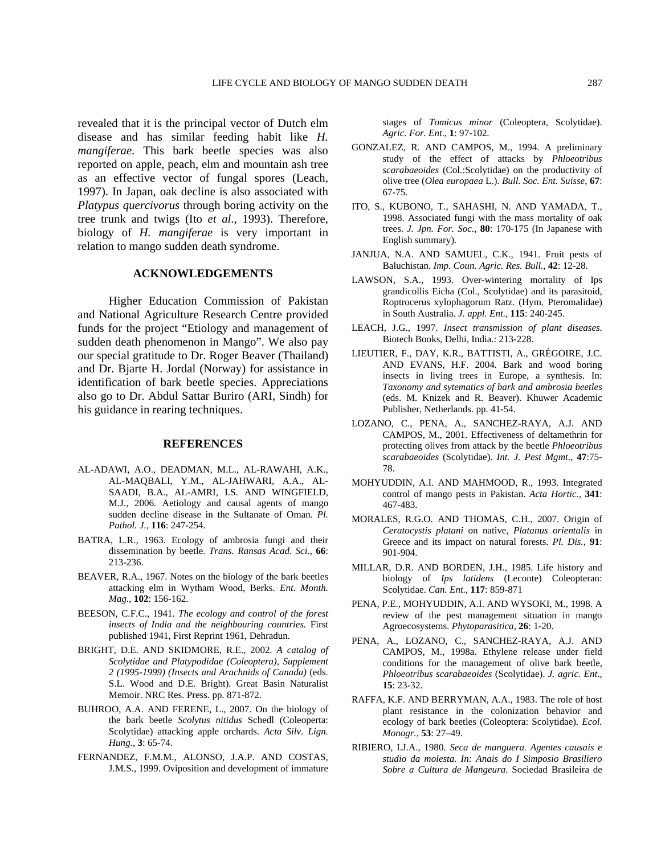revealed that it is the principal vector of Dutch elm disease and has similar feeding habit like *H. mangiferae*. This bark beetle species was also reported on apple, peach, elm and mountain ash tree as an effective vector of fungal spores (Leach, 1997). In Japan, oak decline is also associated with *Platypus quercivorus* through boring activity on the tree trunk and twigs (Ito *et al*., 1993). Therefore, biology of *H. mangiferae* is very important in relation to mango sudden death syndrome.

## **ACKNOWLEDGEMENTS**

Higher Education Commission of Pakistan and National Agriculture Research Centre provided funds for the project "Etiology and management of sudden death phenomenon in Mango". We also pay our special gratitude to Dr. Roger Beaver (Thailand) and Dr. Bjarte H. Jordal (Norway) for assistance in identification of bark beetle species. Appreciations also go to Dr. Abdul Sattar Buriro (ARI, Sindh) for his guidance in rearing techniques.

## **REFERENCES**

- L-ADAWI, A.O., DEADMAN, M.L., AL-RAWAHI, A.K., A AL-MAQBALI, Y.M., AL-JAHWARI, A.A., AL-SAADI, B.A., AL-AMRI, I.S. AND WINGFIELD, M.J., 2006. Aetiology and causal agents of mango sudden decline disease in the Sultanate of Oman. *Pl. Pathol. J*., **116**: 247-254.
- BATRA, L.R., 1963. Ecology of ambrosia fungi and their dissemination by beetle. *Trans. Ransas Acad. Sci.,* **66**: 213-236.
- BEAVER, R.A., 1967. Notes on the biology of the bark beetles attacking elm in Wytham Wood, Berks. *Ent. Month. Mag.*, **102**: 156-162.
- BEESON, C.F.C., 1941. *The ecology and control of the forest insects of India and the neighbouring countries.* First published 1941, First Reprint 1961, Dehradun.
- BRIGHT, D.E. AND SKIDMORE, R.E., 2002. *A catalog of Scolytidae and Platypodidae (Coleoptera), Supplement 2 (1995-1999) (Insects and Arachnids of Canada)* (eds. S.L. Wood and D.E. Bright). Great Basin Naturalist Memoir. NRC Res. Press. pp. 871-872.
- BUHROO, A.A. AND FERENE, L., 2007. On the biology of the bark beetle *Scolytus nitidus* Schedl (Coleoperta: Scolytidae) attacking apple orchards. *Acta Silv. Lign. Hung.,* **3**: 65-74.
- FERNANDEZ, F.M.M., ALONSO, J.A.P. AND COSTAS, J.M.S., 1999. Oviposition and development of immature

stages of *Tomicus minor* (Coleoptera, Scolytidae). *Agric. For. Ent*., **1**: 97-102.

- GONZALEZ, R. AND CAMPOS, M., 1994. A preliminary study of the effect of attacks by *Phloeotribus scarabaeoides* (Col.:Scolytidae) on the productivity of olive tree (*Olea europaea* L.). *Bull. Soc. Ent. Suisse*, **67**: 67-75.
- ITO, S., KUBONO, T., SAHASHI, N. AND YAMADA, T., 1998. Associated fungi with the mass mortality of oak trees. *J. Jpn. For. Soc*., **80**: 170-175 (In Japanese with English summary).
- JANJUA, N.A. AND SAMUEL, C.K., 1941. Fruit pests of Baluchistan. *Imp. Coun. Agric. Res. Bull*., **42**: 12-28.
- LAWSON, S.A., 1993. Over-wintering mortality of Ips grandicollis Eicha (Col., Scolytidae) and its parasitoid, Roptrocerus xylophagorum Ratz. (Hym. Pteromalidae) in South Australia. *J. appl. Ent*., **115**: 240-245.
- LEACH, J.G., 1997. Insect transmission of plant diseases. Biotech Books, Delhi, India.: 213-228.
- LIEUTIER, F., DAY, K.R., BATTISTI, A., GRÉGOIRE, J.C. AND EVANS, H.F. 2004. Bark and wood boring insects in living trees in Europe, a synthesis. In: *Taxonomy and sytematics of bark and ambrosia beetles* (eds. M. Knizek and R. Beaver). Khuwer Academic Publisher, Netherlands. pp. 41-54.
- LOZANO, C., PENA, A., SANCHEZ-RAYA, A.J. AND CAMPOS, M., 2001. Effectiveness of deltamethrin for protecting olives from attack by the beetle *Phloeotribus scarabaeoides* (Scolytidae). *Int. J. Pest Mgmt*., **47**:75- 78.
- MOHYUDDIN, A.I. AND MAHMOOD, R., 1993. Integrated control of mango pests in Pakistan. *Acta Hortic.,* **341**: 467-483.
- MORALES, R.G.O. AND THOMAS, C.H., 2007. Origin of *Ceratocystis platani* on native, *Platanus orientalis* in Greece and its impact on natural forests. *Pl. Dis.,* **91**: 901-904.
- MILLAR, D.R. AND BORDEN, J.H., 1985. Life history and biology of *Ips latidens* (Leconte) Coleopteran: Scolytidae. *Can. Ent*., **117**: 859-871
- PENA, P.E., MOHYUDDIN, A.I. AND WYSOKI, M., 1998. A review of the pest management situation in mango Agroecosystems. *Phytoparasitica,* **26**: 1-20.
- PENA, A., LOZANO, C., SANCHEZ-RAYA, A.J. AND CAMPOS, M., 1998a. Ethylene release under field conditions for the management of olive bark beetle, *Phloeotribus scarabaeoides* (Scolytidae). *J. agric. Ent*., **15**: 23-32.
- RAFFA, K.F. AND BERRYMAN, A.A., 1983. The role of host plant resistance in the colonization behavior and ecology of bark beetles (Coleoptera: Scolytidae). *Ecol. Monogr.,* **53**: 27–49.
- RIBIERO, I.J.A., 1980. *Seca de manguera*. Agentes causais e *studio da molesta. In: Anais do I Simposio Brasiliero Sobre a Cultura de Mangeura*. Sociedad Brasileira de